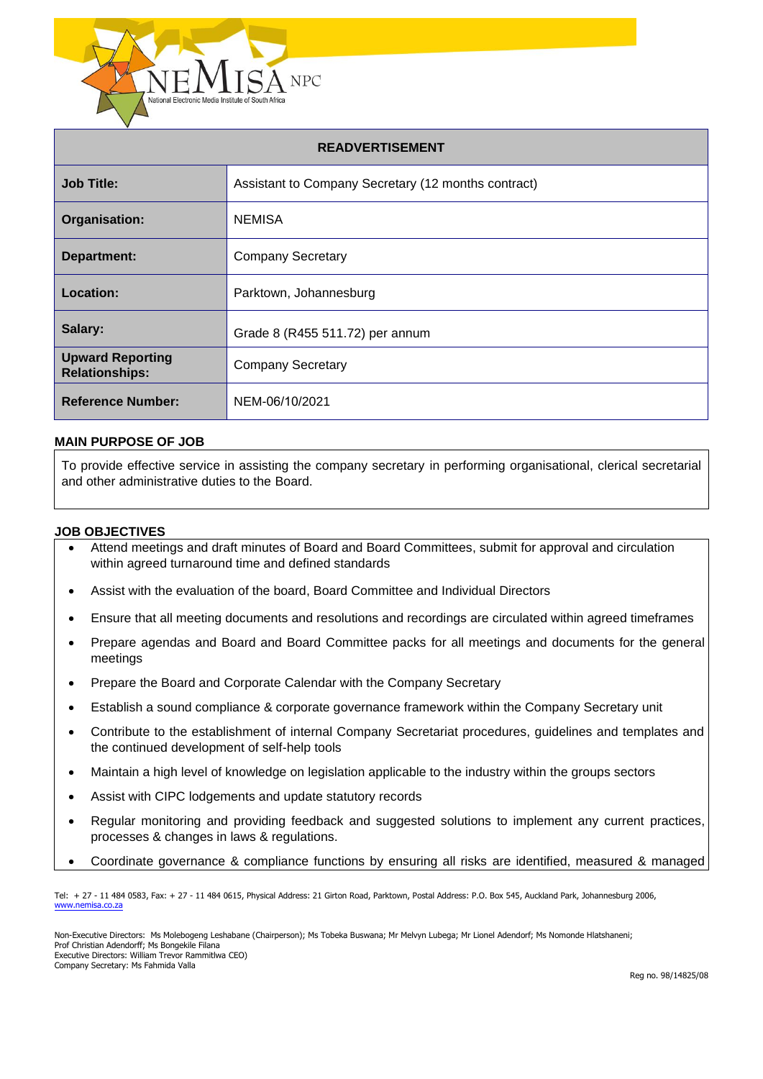

| <b>READVERTISEMENT</b>                           |                                                     |  |
|--------------------------------------------------|-----------------------------------------------------|--|
| <b>Job Title:</b>                                | Assistant to Company Secretary (12 months contract) |  |
| Organisation:                                    | <b>NEMISA</b>                                       |  |
| <b>Department:</b>                               | <b>Company Secretary</b>                            |  |
| Location:                                        | Parktown, Johannesburg                              |  |
| Salary:                                          | Grade 8 (R455 511.72) per annum                     |  |
| <b>Upward Reporting</b><br><b>Relationships:</b> | <b>Company Secretary</b>                            |  |
| <b>Reference Number:</b>                         | NEM-06/10/2021                                      |  |

#### **MAIN PURPOSE OF JOB**

To provide effective service in assisting the company secretary in performing organisational, clerical secretarial and other administrative duties to the Board.

#### **JOB OBJECTIVES**

- Attend meetings and draft minutes of Board and Board Committees, submit for approval and circulation within agreed turnaround time and defined standards
- Assist with the evaluation of the board, Board Committee and Individual Directors

328 294,688 294,688 294,688 294,688 294,688 294,688 294,688 294,688 294,688 294,688 294,688 294,688 294,688 29

- Ensure that all meeting documents and resolutions and recordings are circulated within agreed timeframes
- Prepare agendas and Board and Board Committee packs for all meetings and documents for the general meetings
- Prepare the Board and Corporate Calendar with the Company Secretary
- Establish a sound compliance & corporate governance framework within the Company Secretary unit
- Contribute to the establishment of internal Company Secretariat procedures, guidelines and templates and the continued development of self-help tools
- Maintain a high level of knowledge on legislation applicable to the industry within the groups sectors
- Assist with CIPC lodgements and update statutory records
- Regular monitoring and providing feedback and suggested solutions to implement any current practices, processes & changes in laws & regulations.
- Coordinate governance & compliance functions by ensuring all risks are identified, measured & managed

Tel: + 27 - 11 484 0583, Fax: + 27 - 11 484 0615, Physical Address: 21 Girton Road, Parktown, Postal Address: P.O. Box 545, Auckland Park, Johannesburg 2006, [www.nemisa.co.za](http://www.nemisa.co.za/)

Non-Executive Directors: Ms Molebogeng Leshabane (Chairperson); Ms Tobeka Buswana; Mr Melvyn Lubega; Mr Lionel Adendorf; Ms Nomonde Hlatshaneni; Prof Christian Adendorff; Ms Bongekile Filana Executive Directors: William Trevor Rammitlwa CEO) Company Secretary: Ms Fahmida Valla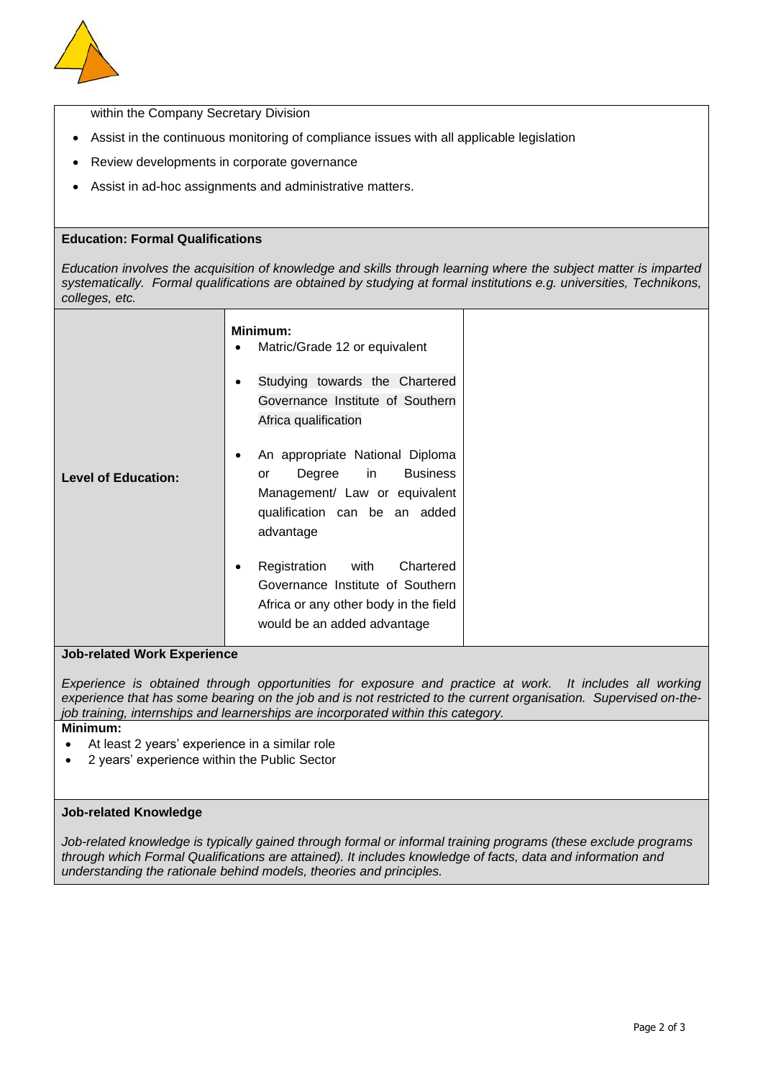

within the Company Secretary Division

- Assist in the continuous monitoring of compliance issues with all applicable legislation
- Review developments in corporate governance
- Assist in ad-hoc assignments and administrative matters.

## **Education: Formal Qualifications**

*Education involves the acquisition of knowledge and skills through learning where the subject matter is imparted systematically. Formal qualifications are obtained by studying at formal institutions e.g. universities, Technikons, colleges, etc.*

| <b>Level of Education:</b> | Minimum:<br>Matric/Grade 12 or equivalent<br>٠                                                                                                       |  |
|----------------------------|------------------------------------------------------------------------------------------------------------------------------------------------------|--|
|                            | Studying towards the Chartered<br>Governance Institute of Southern<br>Africa qualification                                                           |  |
|                            | An appropriate National Diploma<br>Degree in<br><b>Business</b><br>or<br>Management/ Law or equivalent<br>qualification can be an added<br>advantage |  |
|                            | Registration with<br>Chartered<br>Governance Institute of Southern<br>Africa or any other body in the field<br>would be an added advantage           |  |

## **Job-related Work Experience**

*Experience is obtained through opportunities for exposure and practice at work. It includes all working experience that has some bearing on the job and is not restricted to the current organisation. Supervised on-thejob training, internships and learnerships are incorporated within this category.* **Minimum:** 

- At least 2 years' experience in a similar role
- 2 years' experience within the Public Sector

## **Job-related Knowledge**

*Job-related knowledge is typically gained through formal or informal training programs (these exclude programs through which Formal Qualifications are attained). It includes knowledge of facts, data and information and understanding the rationale behind models, theories and principles.*